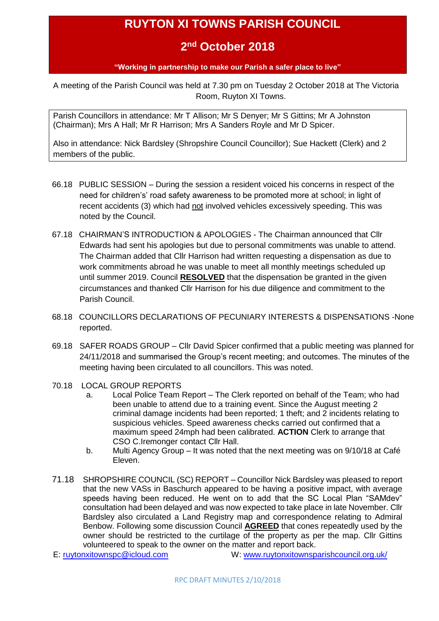# **RUYTON XI TOWNS PARISH COUNCIL**

# **2 nd October 2018**

#### **"Working in partnership to make our Parish a safer place to live"**

<span id="page-0-0"></span>A meeting of the Parish Council was held at 7.30 pm on Tuesday 2 October 2018 at The Victoria Room, Ruyton XI Towns.

Parish Councillors in attendance: Mr T Allison; Mr S Denyer; Mr S Gittins; Mr A Johnston (Chairman); Mrs A Hall; Mr R Harrison; Mrs A Sanders Royle and Mr D Spicer.

Also in attendance: Nick Bardsley (Shropshire Council Councillor); Sue Hackett (Clerk) and 2 members of the public.

- 66.18 PUBLIC SESSION During the session a resident voiced his concerns in respect of the need for children's' road safety awareness to be promoted more at school; in light of recent accidents (3) which had not involved vehicles excessively speeding. This was noted by the Council.
- 67.18 CHAIRMAN'S INTRODUCTION & APOLOGIES The Chairman announced that Cllr Edwards had sent his apologies but due to personal commitments was unable to attend. The Chairman added that Cllr Harrison had written requesting a dispensation as due to work commitments abroad he was unable to meet all monthly meetings scheduled up until summer 2019. Council **RESOLVED** that the dispensation be granted in the given circumstances and thanked Cllr Harrison for his due diligence and commitment to the Parish Council.
- 68.18 COUNCILLORS DECLARATIONS OF PECUNIARY INTERESTS & DISPENSATIONS -None reported.
- 69.18 SAFER ROADS GROUP Cllr David Spicer confirmed that a public meeting was planned for 24/11/2018 and summarised the Group's recent meeting; and outcomes. The minutes of the meeting having been circulated to all councillors. This was noted.
- 70.18 LOCAL GROUP REPORTS
	- a. Local Police Team Report The Clerk reported on behalf of the Team; who had been unable to attend due to a training event. Since the August meeting 2 criminal damage incidents had been reported; 1 theft; and 2 incidents relating to suspicious vehicles. Speed awareness checks carried out confirmed that a maximum speed 24mph had been calibrated. **ACTION** Clerk to arrange that CSO C.Iremonger contact Cllr Hall.
	- b. Multi Agency Group It was noted that the next meeting was on 9/10/18 at Café Eleven.
- 71.18 SHROPSHIRE COUNCIL (SC) REPORT Councillor Nick Bardsley was pleased to report that the new VASs in Baschurch appeared to be having a positive impact, with average speeds having been reduced. He went on to add that the SC Local Plan "SAMdev" consultation had been delayed and was now expected to take place in late November. Cllr Bardsley also circulated a Land Registry map and correspondence relating to Admiral Benbow. Following some discussion Council **AGREED** that cones repeatedly used by the owner should be restricted to the curtilage of the property as per the map. Cllr Gittins volunteered to speak to the owner on the matter and report back.
-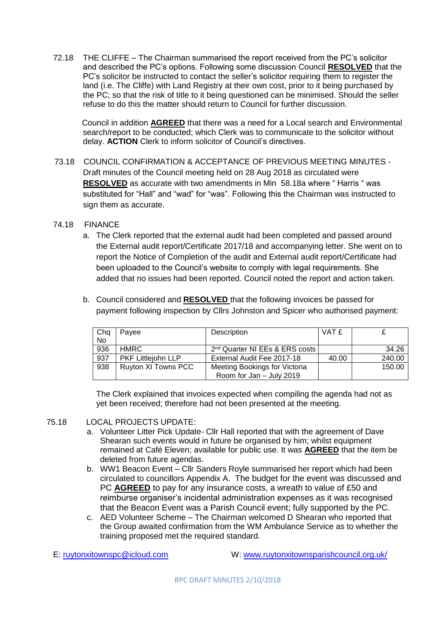72.18 THE CLIFFE – The Chairman summarised the report received from the PC's solicitor and described the PC's options. Following some discussion Council **RESOLVED** that the PC's solicitor be instructed to contact the seller's solicitor requiring them to register the land (i.e. The Cliffe) with Land Registry at their own cost, prior to it being purchased by the PC; so that the risk of title to it being questioned can be minimised. Should the seller refuse to do this the matter should return to Council for further discussion.

Council in addition **AGREED** that there was a need for a Local search and Environmental search/report to be conducted; which Clerk was to communicate to the solicitor without delay. **ACTION** Clerk to inform solicitor of Council's directives.

73.18 COUNCIL CONFIRMATION & ACCEPTANCE OF PREVIOUS MEETING MINUTES - Draft minutes of the Council meeting held on 28 Aug 2018 as circulated were **RESOLVED** as accurate with two amendments in Min 58.18a where " Harris " was substituted for "Hall" and "wad" for "was". Following this the Chairman was instructed to sign them as accurate.

#### 74.18 FINANCE

- a. The Clerk reported that the external audit had been completed and passed around the External audit report/Certificate 2017/18 and accompanying letter. She went on to report the Notice of Completion of the audit and External audit report/Certificate had been uploaded to the Council's website to comply with legal requirements. She added that no issues had been reported. Council noted the report and action taken.
- b. Council considered and **RESOLVED** that the following invoices be passed for payment following inspection by Cllrs Johnston and Spicer who authorised payment:

| Chq       | Payee               | Description                                | VAT £ |        |
|-----------|---------------------|--------------------------------------------|-------|--------|
| <b>No</b> |                     |                                            |       |        |
| 936       | HMRC                | 2 <sup>nd</sup> Quarter NI EEs & ERS costs |       | 34.26  |
| 937       | PKF Littlejohn LLP  | External Audit Fee 2017-18                 | 40.00 | 240.00 |
| 938       | Ruyton XI Towns PCC | Meeting Bookings for Victoria              |       | 150.00 |
|           |                     | Room for Jan - July 2019                   |       |        |

The Clerk explained that invoices expected when compiling the agenda had not as yet been received; therefore had not been presented at the meeting.

#### 75.18 LOCAL PROJECTS UPDATE:

- a. Volunteer Litter Pick Update- Cllr Hall reported that with the agreement of Dave Shearan such events would in future be organised by him; whilst equipment remained at Café Eleven; available for public use. It was **AGREED** that the item be deleted from future agendas.
- b. WW1 Beacon Event Cllr Sanders Royle summarised her report which had been circulated to councillors Appendix A. The budget for the event was discussed and PC **AGREED** to pay for any insurance costs, a wreath to value of £50 and reimburse organiser's incidental administration expenses as it was recognised that the Beacon Event was a Parish Council event; fully supported by the PC.
- c. AED Volunteer Scheme The Chairman welcomed D Shearan who reported that the Group awaited confirmation from the WM Ambulance Service as to whether the training proposed met the required standard.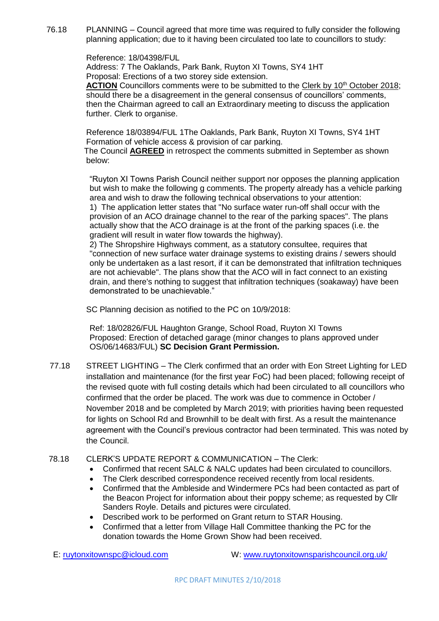76.18 PLANNING – Council agreed that more time was required to fully consider the following planning application; due to it having been circulated too late to councillors to study:

Reference: 18/04398/FUL

Address: 7 The Oaklands, Park Bank, Ruyton XI Towns, SY4 1HT Proposal: Erections of a two storey side extension.

ACTION Councillors comments were to be submitted to the Clerk by 10<sup>th</sup> October 2018; should there be a disagreement in the general consensus of councillors' comments, then the Chairman agreed to call an Extraordinary meeting to discuss the application further. Clerk to organise.

Reference 18/03894/FUL 1The Oaklands, Park Bank, Ruyton XI Towns, SY4 1HT Formation of vehicle access & provision of car parking.

 The Council **AGREED** in retrospect the comments submitted in September as shown below:

"Ruyton XI Towns Parish Council neither support nor opposes the planning application but wish to make the following g comments. The property already has a vehicle parking area and wish to draw the following technical observations to your attention: 1) The application letter states that "No surface water run-off shall occur with the provision of an ACO drainage channel to the rear of the parking spaces". The plans actually show that the ACO drainage is at the front of the parking spaces (i.e. the gradient will result in water flow towards the highway).

2) The Shropshire Highways comment, as a statutory consultee, requires that "connection of new surface water drainage systems to existing drains / sewers should only be undertaken as a last resort, if it can be demonstrated that infiltration techniques are not achievable". The plans show that the ACO will in fact connect to an existing drain, and there's nothing to suggest that infiltration techniques (soakaway) have been demonstrated to be unachievable."

SC Planning decision as notified to the PC on 10/9/2018:

Ref: 18/02826/FUL Haughton Grange, School Road, Ruyton XI Towns Proposed: Erection of detached garage (minor changes to plans approved under OS/06/14683/FUL) **SC Decision Grant Permission.**

77.18 STREET LIGHTING – The Clerk confirmed that an order with Eon Street Lighting for LED installation and maintenance (for the first year FoC) had been placed; following receipt of the revised quote with full costing details which had been circulated to all councillors who confirmed that the order be placed. The work was due to commence in October / November 2018 and be completed by March 2019; with priorities having been requested for lights on School Rd and Brownhill to be dealt with first. As a result the maintenance agreement with the Council's previous contractor had been terminated. This was noted by the Council.

## 78.18 CLERK'S UPDATE REPORT & COMMUNICATION – The Clerk:

- Confirmed that recent SALC & NALC updates had been circulated to councillors.
- The Clerk described correspondence received recently from local residents.
- Confirmed that the Ambleside and Windermere PCs had been contacted as part of the Beacon Project for information about their poppy scheme; as requested by Cllr Sanders Royle. Details and pictures were circulated.
- Described work to be performed on Grant return to STAR Housing.
- Confirmed that a letter from Village Hall Committee thanking the PC for the donation towards the Home Grown Show had been received.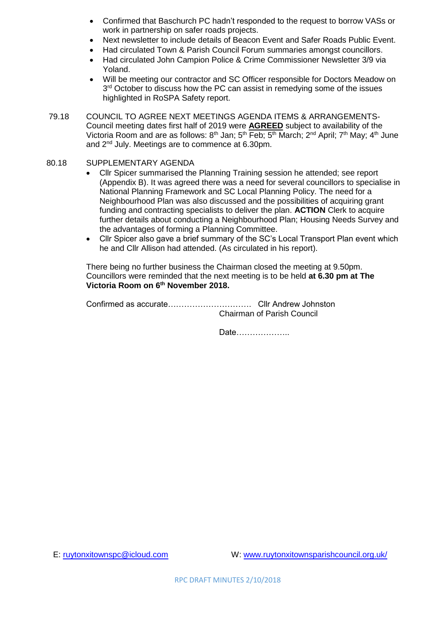- Confirmed that Baschurch PC hadn't responded to the request to borrow VASs or work in partnership on safer roads projects.
- Next newsletter to include details of Beacon Event and Safer Roads Public Event.
- Had circulated Town & Parish Council Forum summaries amongst councillors.
- Had circulated John Campion Police & Crime Commissioner Newsletter 3/9 via Yoland.
- Will be meeting our contractor and SC Officer responsible for Doctors Meadow on 3<sup>rd</sup> October to discuss how the PC can assist in remedying some of the issues highlighted in RoSPA Safety report.
- 79.18 COUNCIL TO AGREE NEXT MEETINGS AGENDA ITEMS & ARRANGEMENTS-Council meeting dates first half of 2019 were **AGREED** subject to availability of the Victoria Room and are as follows:  $8<sup>th</sup>$  Jan:  $5<sup>th</sup>$  Feb:  $5<sup>th</sup>$  March:  $2<sup>nd</sup>$  April:  $7<sup>th</sup>$  May:  $4<sup>th</sup>$  June and 2<sup>nd</sup> July. Meetings are to commence at 6.30pm.
- 80.18 SUPPLEMENTARY AGENDA
	- Cllr Spicer summarised the Planning Training session he attended; see report (Appendix B). It was agreed there was a need for several councillors to specialise in National Planning Framework and SC Local Planning Policy. The need for a Neighbourhood Plan was also discussed and the possibilities of acquiring grant funding and contracting specialists to deliver the plan. **ACTION** Clerk to acquire further details about conducting a Neighbourhood Plan; Housing Needs Survey and the advantages of forming a Planning Committee.
	- Cllr Spicer also gave a brief summary of the SC's Local Transport Plan event which he and Cllr Allison had attended. (As circulated in his report).

There being no further business the Chairman closed the meeting at 9.50pm. Councillors were reminded that the next meeting is to be held **at 6.30 pm at The Victoria Room on 6th November 2018.**

Confirmed as accurate…………………………. Cllr Andrew Johnston Chairman of Parish Council

Date………………..